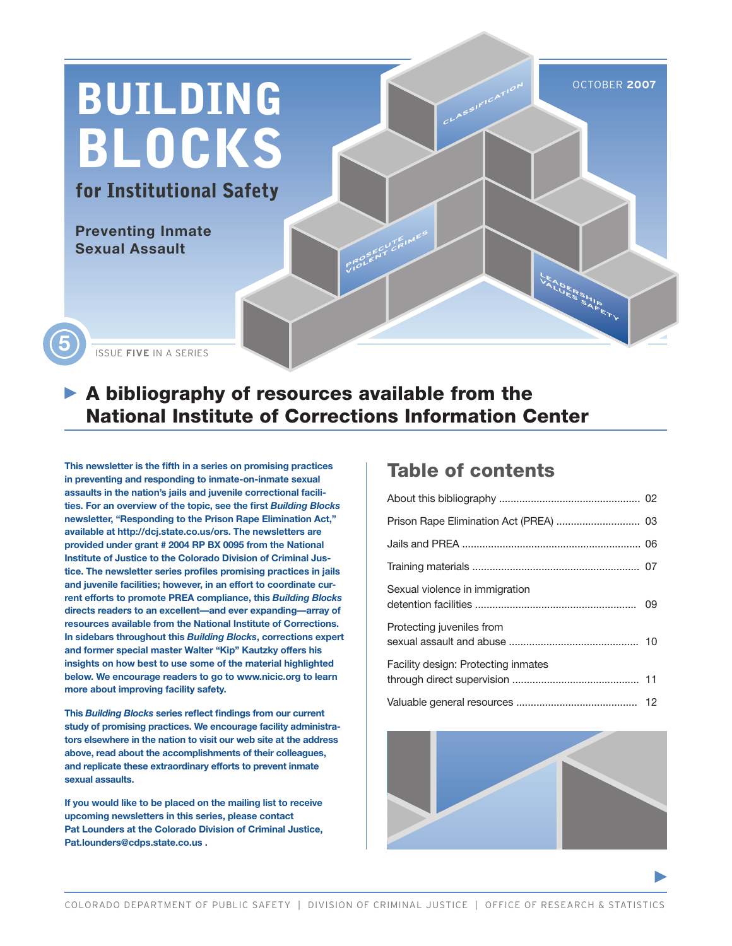

# A bibliography of resources available from the National Institute of Corrections Information Center

**This newsletter is the fifth in a series on promising practices in preventing and responding to inmate-on-inmate sexual assaults in the nation's jails and juvenile correctional facilities. For an overview of the topic, see the first** *Building Blocks* **newsletter, "Responding to the Prison Rape Elimination Act," available at http://dcj.state.co.us/ors. The newsletters are provided under grant # 2004 RP BX 0095 from the National Institute of Justice to the Colorado Division of Criminal Justice. The newsletter series profiles promising practices in jails and juvenile facilities; however, in an effort to coordinate current efforts to promote PREA compliance, this** *Building Blocks* **directs readers to an excellent—and ever expanding—array of resources available from the National Institute of Corrections. In sidebars throughout this** *Building Blocks***, corrections expert and former special master Walter "Kip" Kautzky offers his insights on how best to use some of the material highlighted below. We encourage readers to go to www.nicic.org to learn more about improving facility safety.** 

**This** *Building Blocks* **series reflect findings from our current study of promising practices. We encourage facility administrators elsewhere in the nation to visit our web site at the address above, read about the accomplishments of their colleagues, and replicate these extraordinary efforts to prevent inmate sexual assaults.** 

**If you would like to be placed on the mailing list to receive upcoming newsletters in this series, please contact Pat Lounders at the Colorado Division of Criminal Justice, Pat.lounders@cdps.state.co.us .**

# Table of contents

| Prison Rape Elimination Act (PREA)  03 |  |
|----------------------------------------|--|
|                                        |  |
|                                        |  |
| Sexual violence in immigration         |  |
| Protecting juveniles from              |  |
| Facility design: Protecting inmates    |  |
|                                        |  |

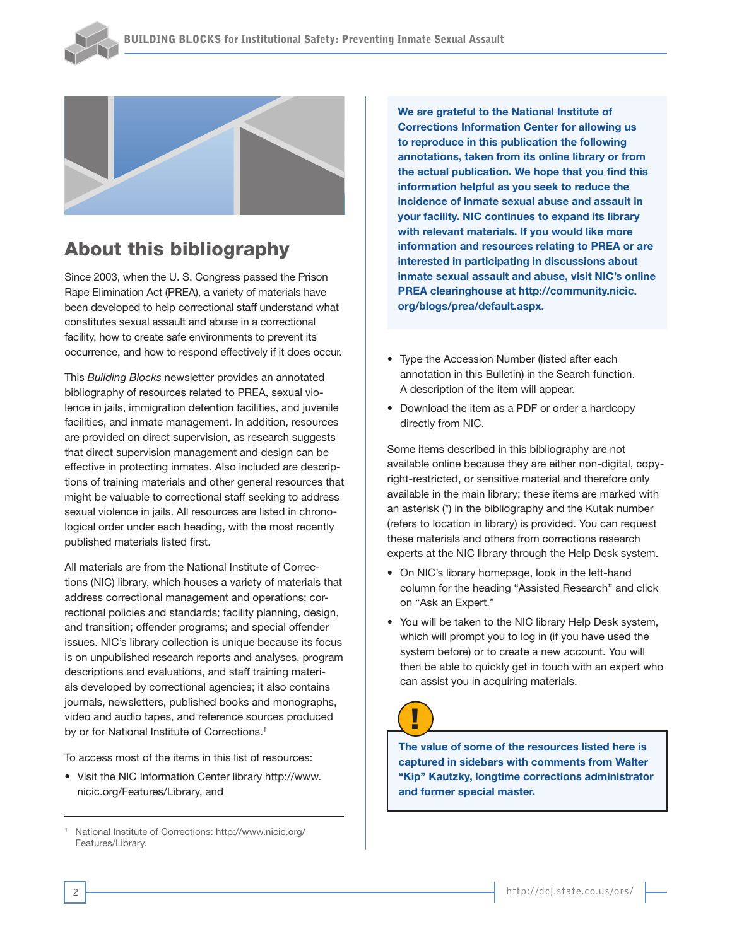

# About this bibliography

Since 2003, when the U. S. Congress passed the Prison Rape Elimination Act (PREA), a variety of materials have been developed to help correctional staff understand what constitutes sexual assault and abuse in a correctional facility, how to create safe environments to prevent its occurrence, and how to respond effectively if it does occur.

This *Building Blocks* newsletter provides an annotated bibliography of resources related to PREA, sexual violence in jails, immigration detention facilities, and juvenile facilities, and inmate management. In addition, resources are provided on direct supervision, as research suggests that direct supervision management and design can be effective in protecting inmates. Also included are descriptions of training materials and other general resources that might be valuable to correctional staff seeking to address sexual violence in jails. All resources are listed in chronological order under each heading, with the most recently published materials listed first.

All materials are from the National Institute of Corrections (NIC) library, which houses a variety of materials that address correctional management and operations; correctional policies and standards; facility planning, design, and transition; offender programs; and special offender issues. NIC's library collection is unique because its focus is on unpublished research reports and analyses, program descriptions and evaluations, and staff training materials developed by correctional agencies; it also contains journals, newsletters, published books and monographs, video and audio tapes, and reference sources produced by or for National Institute of Corrections.<sup>1</sup>

To access most of the items in this list of resources:

• Visit the NIC Information Center library http://www. nicic.org/Features/Library, and

**We are grateful to the National Institute of Corrections Information Center for allowing us to reproduce in this publication the following annotations, taken from its online library or from the actual publication. We hope that you find this information helpful as you seek to reduce the incidence of inmate sexual abuse and assault in your facility. NIC continues to expand its library with relevant materials. If you would like more information and resources relating to PREA or are interested in participating in discussions about inmate sexual assault and abuse, visit NIC's online PREA clearinghouse at http://community.nicic. org/blogs/prea/default.aspx.**

- Type the Accession Number (listed after each annotation in this Bulletin) in the Search function. A description of the item will appear.
- Download the item as a PDF or order a hardcopy directly from NIC.

Some items described in this bibliography are not available online because they are either non-digital, copyright-restricted, or sensitive material and therefore only available in the main library; these items are marked with an asterisk (\*) in the bibliography and the Kutak number (refers to location in library) is provided. You can request these materials and others from corrections research experts at the NIC library through the Help Desk system.

- On NIC's library homepage, look in the left-hand column for the heading "Assisted Research" and click on "Ask an Expert."
- You will be taken to the NIC library Help Desk system, which will prompt you to log in (if you have used the system before) or to create a new account. You will then be able to quickly get in touch with an expert who can assist you in acquiring materials.

**The value of some of the resources listed here is captured in sidebars with comments from Walter "Kip" Kautzky, longtime corrections administrator and former special master. !**

<sup>1</sup> National Institute of Corrections: http://www.nicic.org/ Features/Library.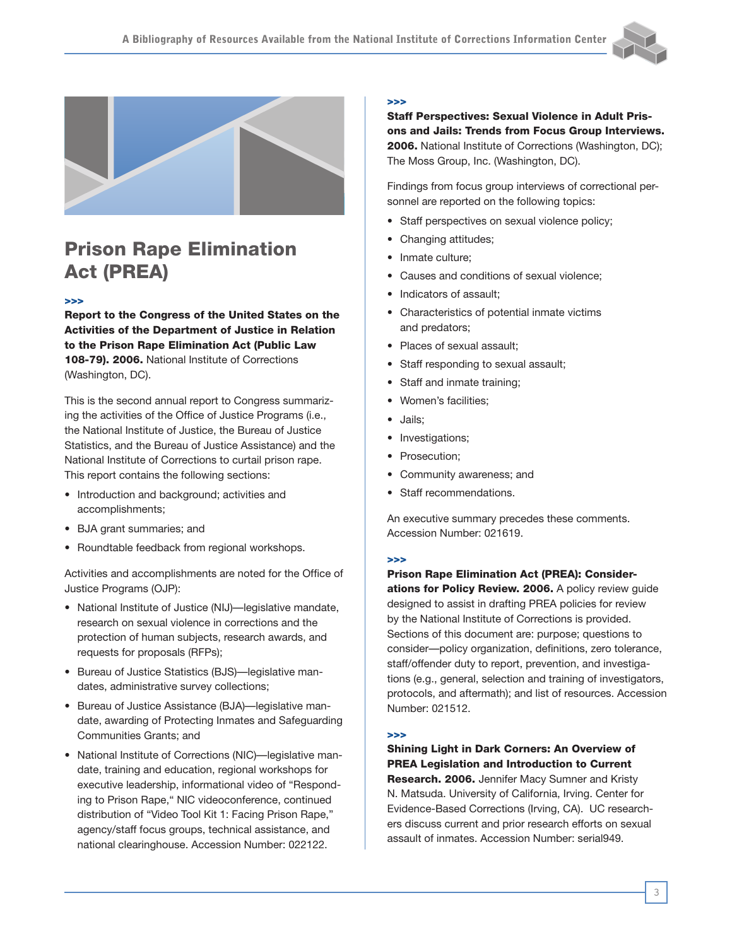



# Prison Rape Elimination Act (PREA)

#### >>>

Report to the Congress of the United States on the Activities of the Department of Justice in Relation to the Prison Rape Elimination Act (Public Law 108-79). 2006. National Institute of Corrections (Washington, DC).

This is the second annual report to Congress summarizing the activities of the Office of Justice Programs (i.e., the National Institute of Justice, the Bureau of Justice Statistics, and the Bureau of Justice Assistance) and the National Institute of Corrections to curtail prison rape. This report contains the following sections:

- Introduction and background; activities and accomplishments;
- BJA grant summaries; and
- Roundtable feedback from regional workshops.

Activities and accomplishments are noted for the Office of Justice Programs (OJP):

- National Institute of Justice (NIJ)—legislative mandate, research on sexual violence in corrections and the protection of human subjects, research awards, and requests for proposals (RFPs);
- Bureau of Justice Statistics (BJS)—legislative mandates, administrative survey collections;
- Bureau of Justice Assistance (BJA)—legislative mandate, awarding of Protecting Inmates and Safeguarding Communities Grants; and
- National Institute of Corrections (NIC)—legislative mandate, training and education, regional workshops for executive leadership, informational video of "Responding to Prison Rape," NIC videoconference, continued distribution of "Video Tool Kit 1: Facing Prison Rape," agency/staff focus groups, technical assistance, and national clearinghouse. Accession Number: 022122.

#### >>>

Staff Perspectives: Sexual Violence in Adult Prisons and Jails: Trends from Focus Group Interviews. 2006. National Institute of Corrections (Washington, DC); The Moss Group, Inc. (Washington, DC).

Findings from focus group interviews of correctional personnel are reported on the following topics:

- Staff perspectives on sexual violence policy;
- Changing attitudes;
- Inmate culture;
- Causes and conditions of sexual violence;
- Indicators of assault;
- Characteristics of potential inmate victims and predators;
- Places of sexual assault;
- Staff responding to sexual assault;
- Staff and inmate training;
- Women's facilities;
- Jails;
- Investigations;
- Prosecution;
- Community awareness; and
- Staff recommendations.

An executive summary precedes these comments. Accession Number: 021619.

#### >>>

# Prison Rape Elimination Act (PREA): Consider-

ations for Policy Review. 2006. A policy review guide designed to assist in drafting PREA policies for review by the National Institute of Corrections is provided. Sections of this document are: purpose; questions to consider—policy organization, definitions, zero tolerance, staff/offender duty to report, prevention, and investigations (e.g., general, selection and training of investigators, protocols, and aftermath); and list of resources. Accession Number: 021512.

#### >>>

Shining Light in Dark Corners: An Overview of PREA Legislation and Introduction to Current Research. 2006. Jennifer Macy Sumner and Kristy N. Matsuda. University of California, Irving. Center for Evidence-Based Corrections (Irving, CA). UC researchers discuss current and prior research efforts on sexual assault of inmates. Accession Number: serial949.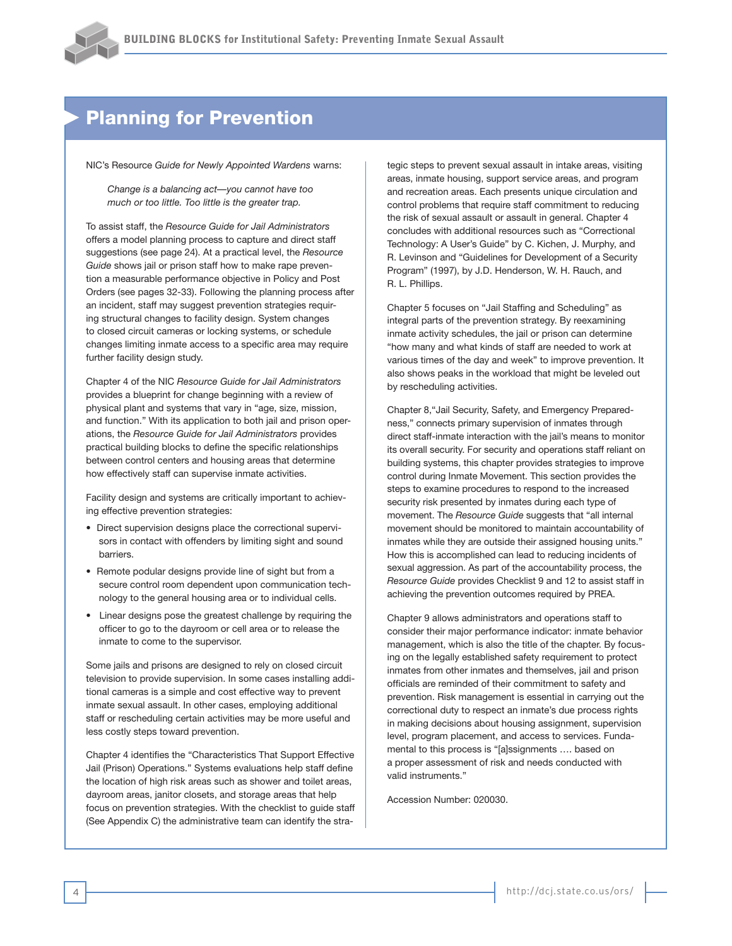# Planning for Prevention

NIC's Resource *Guide for Newly Appointed Wardens* warns:

*Change is a balancing act—you cannot have too much or too little. Too little is the greater trap.*

To assist staff, the *Resource Guide for Jail Administrators*  offers a model planning process to capture and direct staff suggestions (see page 24). At a practical level, the *Resource Guide* shows jail or prison staff how to make rape prevention a measurable performance objective in Policy and Post Orders (see pages 32-33). Following the planning process after an incident, staff may suggest prevention strategies requiring structural changes to facility design. System changes to closed circuit cameras or locking systems, or schedule changes limiting inmate access to a specific area may require further facility design study.

Chapter 4 of the NIC *Resource Guide for Jail Administrators* provides a blueprint for change beginning with a review of physical plant and systems that vary in "age, size, mission, and function." With its application to both jail and prison operations, the *Resource Guide for Jail Administrators* provides practical building blocks to define the specific relationships between control centers and housing areas that determine how effectively staff can supervise inmate activities.

Facility design and systems are critically important to achieving effective prevention strategies:

- Direct supervision designs place the correctional supervisors in contact with offenders by limiting sight and sound barriers.
- Remote podular designs provide line of sight but from a secure control room dependent upon communication technology to the general housing area or to individual cells.
- Linear designs pose the greatest challenge by requiring the officer to go to the dayroom or cell area or to release the inmate to come to the supervisor.

Some jails and prisons are designed to rely on closed circuit television to provide supervision. In some cases installing additional cameras is a simple and cost effective way to prevent inmate sexual assault. In other cases, employing additional staff or rescheduling certain activities may be more useful and less costly steps toward prevention.

Chapter 4 identifies the "Characteristics That Support Effective Jail (Prison) Operations." Systems evaluations help staff define the location of high risk areas such as shower and toilet areas, dayroom areas, janitor closets, and storage areas that help focus on prevention strategies. With the checklist to guide staff (See Appendix C) the administrative team can identify the strategic steps to prevent sexual assault in intake areas, visiting areas, inmate housing, support service areas, and program and recreation areas. Each presents unique circulation and control problems that require staff commitment to reducing the risk of sexual assault or assault in general. Chapter 4 concludes with additional resources such as "Correctional Technology: A User's Guide" by C. Kichen, J. Murphy, and R. Levinson and "Guidelines for Development of a Security Program" (1997), by J.D. Henderson, W. H. Rauch, and R. L. Phillips.

Chapter 5 focuses on "Jail Staffing and Scheduling" as integral parts of the prevention strategy. By reexamining inmate activity schedules, the jail or prison can determine "how many and what kinds of staff are needed to work at various times of the day and week" to improve prevention. It also shows peaks in the workload that might be leveled out by rescheduling activities.

Chapter 8,"Jail Security, Safety, and Emergency Preparedness," connects primary supervision of inmates through direct staff-inmate interaction with the jail's means to monitor its overall security. For security and operations staff reliant on building systems, this chapter provides strategies to improve control during Inmate Movement. This section provides the steps to examine procedures to respond to the increased security risk presented by inmates during each type of movement. The *Resource Guide* suggests that "all internal movement should be monitored to maintain accountability of inmates while they are outside their assigned housing units." How this is accomplished can lead to reducing incidents of sexual aggression. As part of the accountability process, the *Resource Guide* provides Checklist 9 and 12 to assist staff in achieving the prevention outcomes required by PREA.

Chapter 9 allows administrators and operations staff to consider their major performance indicator: inmate behavior management, which is also the title of the chapter. By focusing on the legally established safety requirement to protect inmates from other inmates and themselves, jail and prison officials are reminded of their commitment to safety and prevention. Risk management is essential in carrying out the correctional duty to respect an inmate's due process rights in making decisions about housing assignment, supervision level, program placement, and access to services. Fundamental to this process is "[a]ssignments …. based on a proper assessment of risk and needs conducted with valid instruments."

Accession Number: 020030.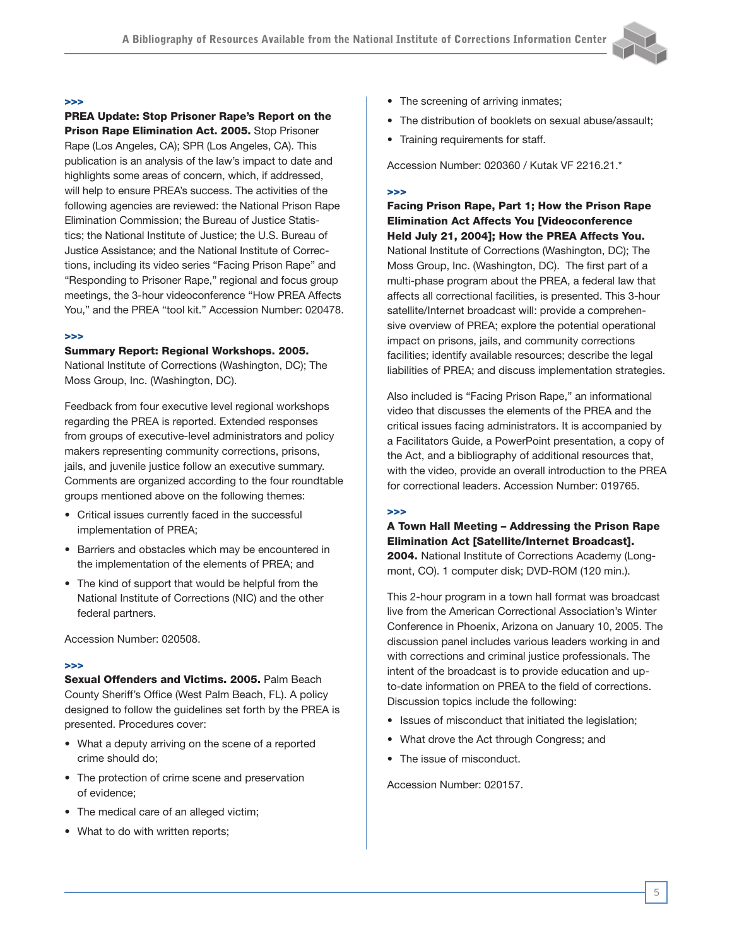

#### >>>

# PREA Update: Stop Prisoner Rape's Report on the

Prison Rape Elimination Act. 2005. Stop Prisoner Rape (Los Angeles, CA); SPR (Los Angeles, CA). This publication is an analysis of the law's impact to date and highlights some areas of concern, which, if addressed, will help to ensure PREA's success. The activities of the following agencies are reviewed: the National Prison Rape Elimination Commission; the Bureau of Justice Statistics; the National Institute of Justice; the U.S. Bureau of Justice Assistance; and the National Institute of Corrections, including its video series "Facing Prison Rape" and "Responding to Prisoner Rape," regional and focus group meetings, the 3-hour videoconference "How PREA Affects You," and the PREA "tool kit." Accession Number: 020478.

#### >>>

#### Summary Report: Regional Workshops. 2005.

National Institute of Corrections (Washington, DC); The Moss Group, Inc. (Washington, DC).

Feedback from four executive level regional workshops regarding the PREA is reported. Extended responses from groups of executive-level administrators and policy makers representing community corrections, prisons, jails, and juvenile justice follow an executive summary. Comments are organized according to the four roundtable groups mentioned above on the following themes:

- Critical issues currently faced in the successful implementation of PREA;
- Barriers and obstacles which may be encountered in the implementation of the elements of PREA; and
- The kind of support that would be helpful from the National Institute of Corrections (NIC) and the other federal partners.

Accession Number: 020508.

#### >>>

Sexual Offenders and Victims. 2005. Palm Beach County Sheriff's Office (West Palm Beach, FL). A policy designed to follow the guidelines set forth by the PREA is presented. Procedures cover:

- What a deputy arriving on the scene of a reported crime should do;
- The protection of crime scene and preservation of evidence;
- The medical care of an alleged victim;
- What to do with written reports;
- The screening of arriving inmates;
- The distribution of booklets on sexual abuse/assault;
- Training requirements for staff.

Accession Number: 020360 / Kutak VF 2216.21.\*

#### >>>

Facing Prison Rape, Part 1; How the Prison Rape Elimination Act Affects You [Videoconference Held July 21, 2004]; How the PREA Affects You. National Institute of Corrections (Washington, DC); The Moss Group, Inc. (Washington, DC). The first part of a multi-phase program about the PREA, a federal law that affects all correctional facilities, is presented. This 3-hour satellite/Internet broadcast will: provide a comprehensive overview of PREA; explore the potential operational impact on prisons, jails, and community corrections facilities; identify available resources; describe the legal liabilities of PREA; and discuss implementation strategies.

Also included is "Facing Prison Rape," an informational video that discusses the elements of the PREA and the critical issues facing administrators. It is accompanied by a Facilitators Guide, a PowerPoint presentation, a copy of the Act, and a bibliography of additional resources that, with the video, provide an overall introduction to the PREA for correctional leaders. Accession Number: 019765.

## >>>

## A Town Hall Meeting – Addressing the Prison Rape Elimination Act [Satellite/Internet Broadcast].

2004. National Institute of Corrections Academy (Longmont, CO). 1 computer disk; DVD-ROM (120 min.).

This 2-hour program in a town hall format was broadcast live from the American Correctional Association's Winter Conference in Phoenix, Arizona on January 10, 2005. The discussion panel includes various leaders working in and with corrections and criminal justice professionals. The intent of the broadcast is to provide education and upto-date information on PREA to the field of corrections. Discussion topics include the following:

- Issues of misconduct that initiated the legislation;
- What drove the Act through Congress; and
- The issue of misconduct.

Accession Number: 020157.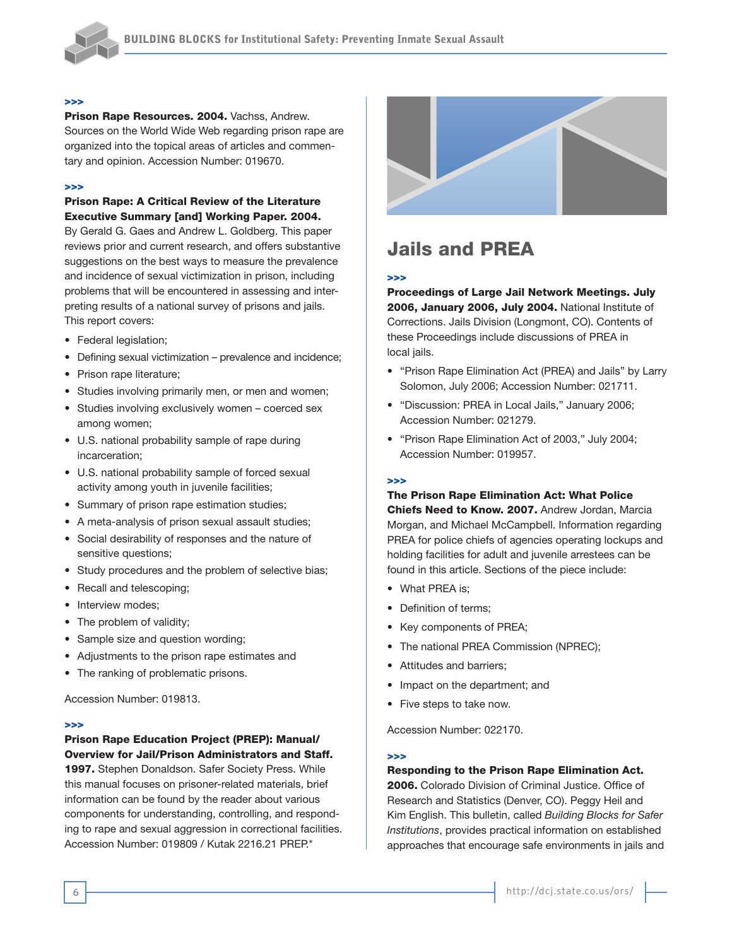

#### >>>

Prison Rape Resources. 2004. Vachss, Andrew. Sources on the World Wide Web regarding prison rape are organized into the topical areas of articles and commentary and opinion. Accession Number: 019670.

#### >>>

# Prison Rape: A Critical Review of the Literature Executive Summary [and] Working Paper. 2004.

By Gerald G. Gaes and Andrew L. Goldberg. This paper reviews prior and current research, and offers substantive suggestions on the best ways to measure the prevalence and incidence of sexual victimization in prison, including problems that will be encountered in assessing and interpreting results of a national survey of prisons and jails. This report covers:

- Federal legislation;
- Defining sexual victimization prevalence and incidence;
- Prison rape literature;
- Studies involving primarily men, or men and women;
- Studies involving exclusively women coerced sex among women;
- U.S. national probability sample of rape during incarceration;
- U.S. national probability sample of forced sexual activity among youth in juvenile facilities;
- Summary of prison rape estimation studies;
- A meta-analysis of prison sexual assault studies;
- Social desirability of responses and the nature of sensitive questions;
- Study procedures and the problem of selective bias;
- Recall and telescoping;
- Interview modes;
- The problem of validity;
- Sample size and question wording;
- Adjustments to the prison rape estimates and
- The ranking of problematic prisons.

Accession Number: 019813.

#### >>>

## Prison Rape Education Project (PREP): Manual/ Overview for Jail/Prison Administrators and Staff.

1997. Stephen Donaldson. Safer Society Press. While this manual focuses on prisoner-related materials, brief information can be found by the reader about various components for understanding, controlling, and responding to rape and sexual aggression in correctional facilities. Accession Number: 019809 / Kutak 2216.21 PREP.\*



# Jails and PREA

## >>>

Proceedings of Large Jail Network Meetings. July 2006, January 2006, July 2004. National Institute of Corrections. Jails Division (Longmont, CO). Contents of these Proceedings include discussions of PREA in local jails.

- "Prison Rape Elimination Act (PREA) and Jails" by Larry Solomon, July 2006; Accession Number: 021711.
- "Discussion: PREA in Local Jails," January 2006; Accession Number: 021279.
- "Prison Rape Elimination Act of 2003," July 2004; Accession Number: 019957.

#### >>>

#### The Prison Rape Elimination Act: What Police

Chiefs Need to Know. 2007. Andrew Jordan, Marcia Morgan, and Michael McCampbell. Information regarding PREA for police chiefs of agencies operating lockups and holding facilities for adult and juvenile arrestees can be found in this article. Sections of the piece include:

- What PREA is;
- Definition of terms;
- Key components of PREA;
- The national PREA Commission (NPREC);
- Attitudes and barriers;
- Impact on the department; and
- Five steps to take now.

Accession Number: 022170.

#### >>>

## Responding to the Prison Rape Elimination Act.

2006. Colorado Division of Criminal Justice. Office of Research and Statistics (Denver, CO). Peggy Heil and Kim English. This bulletin, called *Building Blocks for Safer Institutions*, provides practical information on established approaches that encourage safe environments in jails and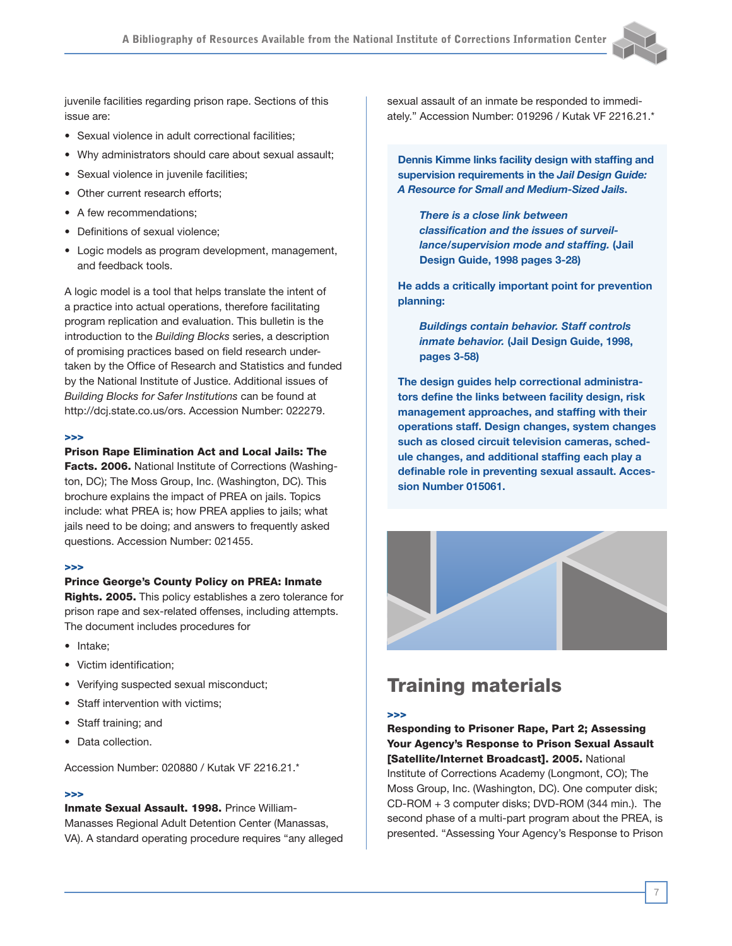

juvenile facilities regarding prison rape. Sections of this issue are:

- Sexual violence in adult correctional facilities;
- Why administrators should care about sexual assault;
- Sexual violence in juvenile facilities;
- Other current research efforts;
- A few recommendations:
- Definitions of sexual violence;
- Logic models as program development, management, and feedback tools.

A logic model is a tool that helps translate the intent of a practice into actual operations, therefore facilitating program replication and evaluation. This bulletin is the introduction to the *Building Blocks* series, a description of promising practices based on field research undertaken by the Office of Research and Statistics and funded by the National Institute of Justice. Additional issues of *Building Blocks for Safer Institutions* can be found at http://dcj.state.co.us/ors. Accession Number: 022279.

#### >>>

#### Prison Rape Elimination Act and Local Jails: The

Facts. 2006. National Institute of Corrections (Washington, DC); The Moss Group, Inc. (Washington, DC). This brochure explains the impact of PREA on jails. Topics include: what PREA is; how PREA applies to jails; what jails need to be doing; and answers to frequently asked questions. Accession Number: 021455.

#### >>>

#### Prince George's County Policy on PREA: Inmate

Rights. 2005. This policy establishes a zero tolerance for prison rape and sex-related offenses, including attempts. The document includes procedures for

- Intake;
- Victim identification;
- Verifying suspected sexual misconduct;
- Staff intervention with victims;
- Staff training; and
- Data collection.

Accession Number: 020880 / Kutak VF 2216.21.\*

#### >>>

Inmate Sexual Assault. 1998. Prince William-Manasses Regional Adult Detention Center (Manassas, VA). A standard operating procedure requires "any alleged sexual assault of an inmate be responded to immediately." Accession Number: 019296 / Kutak VF 2216.21.\*

**Dennis Kimme links facility design with staffing and supervision requirements in the** *Jail Design Guide: A Resource for Small and Medium-Sized Jails***.** 

*There is a close link between classification and the issues of surveillance/supervision mode and staffing.* **(Jail Design Guide, 1998 pages 3-28)**

**He adds a critically important point for prevention planning:**

*Buildings contain behavior. Staff controls inmate behavior.* **(Jail Design Guide, 1998, pages 3-58)** 

**The design guides help correctional administrators define the links between facility design, risk management approaches, and staffing with their operations staff. Design changes, system changes such as closed circuit television cameras, schedule changes, and additional staffing each play a definable role in preventing sexual assault. Accession Number 015061.**



# Training materials

#### >>>

Responding to Prisoner Rape, Part 2; Assessing Your Agency's Response to Prison Sexual Assault [Satellite/Internet Broadcast]. 2005. National Institute of Corrections Academy (Longmont, CO); The Moss Group, Inc. (Washington, DC). One computer disk; CD-ROM + 3 computer disks; DVD-ROM (344 min.). The second phase of a multi-part program about the PREA, is presented. "Assessing Your Agency's Response to Prison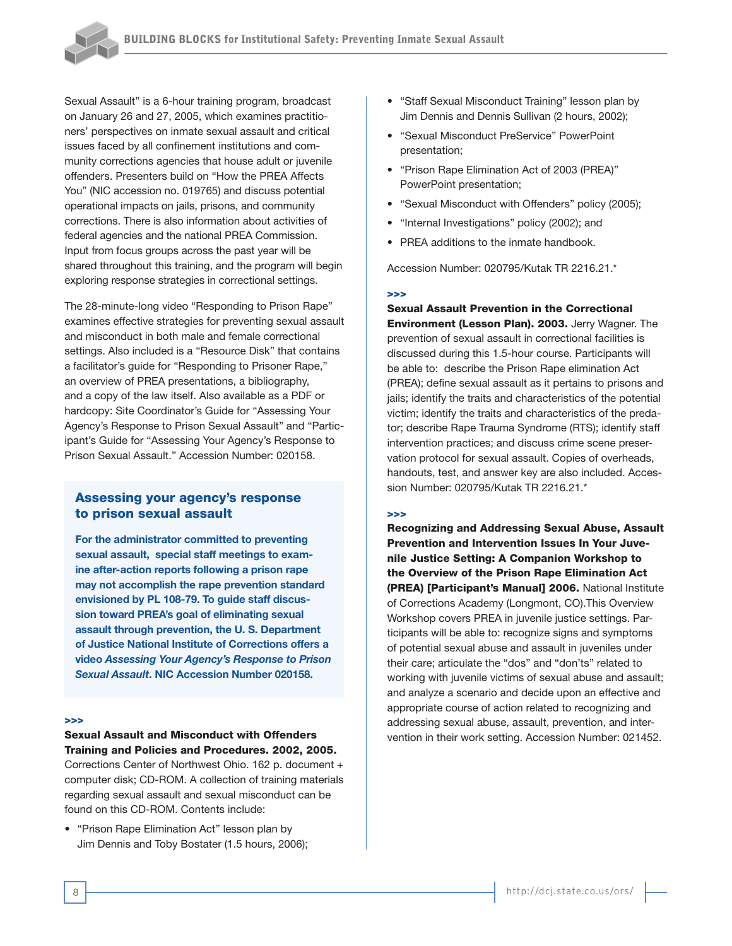Sexual Assault" is a 6-hour training program, broadcast on January 26 and 27, 2005, which examines practitioners' perspectives on inmate sexual assault and critical issues faced by all confinement institutions and community corrections agencies that house adult or juvenile offenders. Presenters build on "How the PREA Affects You" (NIC accession no. 019765) and discuss potential operational impacts on jails, prisons, and community corrections. There is also information about activities of federal agencies and the national PREA Commission. Input from focus groups across the past year will be shared throughout this training, and the program will begin exploring response strategies in correctional settings.

The 28-minute-long video "Responding to Prison Rape" examines effective strategies for preventing sexual assault and misconduct in both male and female correctional settings. Also included is a "Resource Disk" that contains a facilitator's guide for "Responding to Prisoner Rape," an overview of PREA presentations, a bibliography, and a copy of the law itself. Also available as a PDF or hardcopy: Site Coordinator's Guide for "Assessing Your Agency's Response to Prison Sexual Assault" and "Participant's Guide for "Assessing Your Agency's Response to Prison Sexual Assault." Accession Number: 020158.

## Assessing your agency's response to prison sexual assault

**For the administrator committed to preventing sexual assault, special staff meetings to examine after-action reports following a prison rape may not accomplish the rape prevention standard envisioned by PL 108-79. To guide staff discussion toward PREA's goal of eliminating sexual assault through prevention, the U. S. Department of Justice National Institute of Corrections offers a video** *Assessing Your Agency's Response to Prison Sexual Assault***. NIC Accession Number 020158.**

#### >>>

#### Sexual Assault and Misconduct with Offenders Training and Policies and Procedures. 2002, 2005.

Corrections Center of Northwest Ohio. 162 p. document + computer disk; CD-ROM. A collection of training materials regarding sexual assault and sexual misconduct can be found on this CD-ROM. Contents include:

• "Prison Rape Elimination Act" lesson plan by Jim Dennis and Toby Bostater (1.5 hours, 2006);

- "Staff Sexual Misconduct Training" lesson plan by Jim Dennis and Dennis Sullivan (2 hours, 2002);
- "Sexual Misconduct PreService" PowerPoint presentation;
- "Prison Rape Elimination Act of 2003 (PREA)" PowerPoint presentation;
- "Sexual Misconduct with Offenders" policy (2005);
- "Internal Investigations" policy (2002); and
- PREA additions to the inmate handbook.

Accession Number: 020795/Kutak TR 2216.21.\*

#### >>>

Sexual Assault Prevention in the Correctional Environment (Lesson Plan). 2003. Jerry Wagner. The prevention of sexual assault in correctional facilities is discussed during this 1.5-hour course. Participants will be able to: describe the Prison Rape elimination Act (PREA); define sexual assault as it pertains to prisons and jails; identify the traits and characteristics of the potential victim; identify the traits and characteristics of the predator; describe Rape Trauma Syndrome (RTS); identify staff intervention practices; and discuss crime scene preservation protocol for sexual assault. Copies of overheads, handouts, test, and answer key are also included. Accession Number: 020795/Kutak TR 2216.21.\*

#### >>>

Recognizing and Addressing Sexual Abuse, Assault Prevention and Intervention Issues In Your Juvenile Justice Setting: A Companion Workshop to the Overview of the Prison Rape Elimination Act (PREA) [Participant's Manual] 2006. National Institute of Corrections Academy (Longmont, CO).This Overview Workshop covers PREA in juvenile justice settings. Participants will be able to: recognize signs and symptoms of potential sexual abuse and assault in juveniles under their care; articulate the "dos" and "don'ts" related to working with juvenile victims of sexual abuse and assault; and analyze a scenario and decide upon an effective and appropriate course of action related to recognizing and addressing sexual abuse, assault, prevention, and intervention in their work setting. Accession Number: 021452.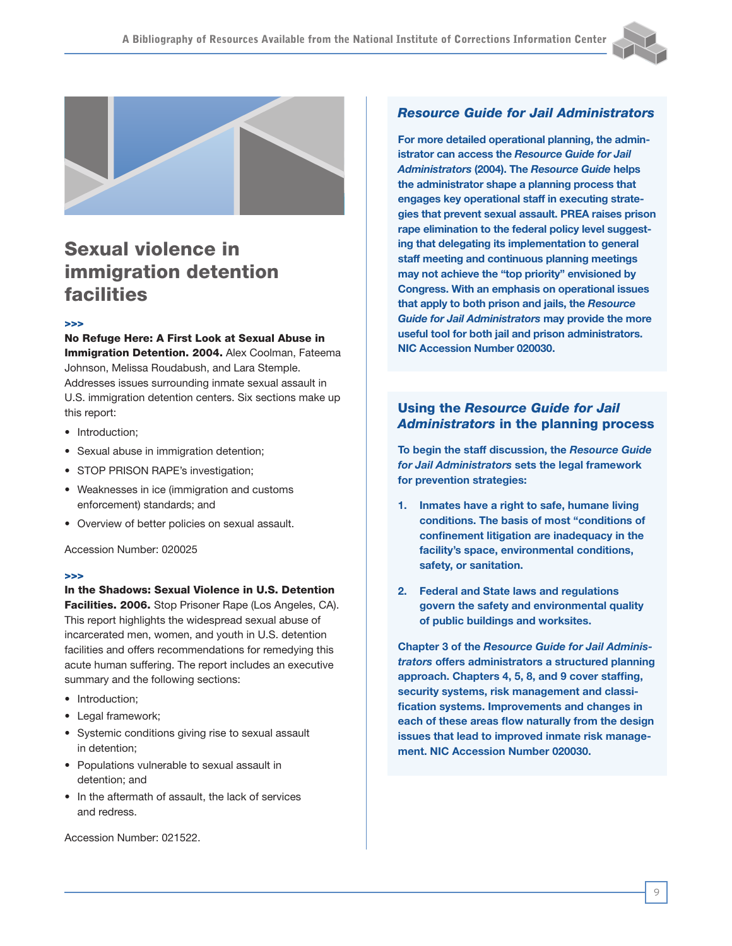

# Sexual violence in immigration detention facilities

#### >>>

No Refuge Here: A First Look at Sexual Abuse in Immigration Detention. 2004. Alex Coolman, Fateema Johnson, Melissa Roudabush, and Lara Stemple. Addresses issues surrounding inmate sexual assault in U.S. immigration detention centers. Six sections make up this report:

- Introduction;
- Sexual abuse in immigration detention;
- STOP PRISON RAPE's investigation;
- Weaknesses in ice (immigration and customs enforcement) standards; and
- Overview of better policies on sexual assault.

Accession Number: 020025

#### >>>

In the Shadows: Sexual Violence in U.S. Detention Facilities. 2006. Stop Prisoner Rape (Los Angeles, CA). This report highlights the widespread sexual abuse of incarcerated men, women, and youth in U.S. detention facilities and offers recommendations for remedying this acute human suffering. The report includes an executive summary and the following sections:

- Introduction:
- Legal framework;
- Systemic conditions giving rise to sexual assault in detention;
- Populations vulnerable to sexual assault in detention; and
- In the aftermath of assault, the lack of services and redress.

Accession Number: 021522.

# *Resource Guide for Jail Administrators*

**For more detailed operational planning, the administrator can access the** *Resource Guide for Jail Administrators* **(2004). The** *Resource Guide* **helps the administrator shape a planning process that engages key operational staff in executing strategies that prevent sexual assault. PREA raises prison rape elimination to the federal policy level suggesting that delegating its implementation to general staff meeting and continuous planning meetings may not achieve the "top priority" envisioned by Congress. With an emphasis on operational issues that apply to both prison and jails, the** *Resource Guide for Jail Administrators* **may provide the more useful tool for both jail and prison administrators. NIC Accession Number 020030.**

# Using the *Resource Guide for Jail Administrators* in the planning process

**To begin the staff discussion, the** *Resource Guide for Jail Administrators* **sets the legal framework for prevention strategies:**

- **1. Inmates have a right to safe, humane living conditions. The basis of most "conditions of confinement litigation are inadequacy in the facility's space, environmental conditions, safety, or sanitation.**
- **2. Federal and State laws and regulations govern the safety and environmental quality of public buildings and worksites.**

**Chapter 3 of the** *Resource Guide for Jail Administrators* **offers administrators a structured planning approach. Chapters 4, 5, 8, and 9 cover staffing, security systems, risk management and classification systems. Improvements and changes in each of these areas flow naturally from the design issues that lead to improved inmate risk management. NIC Accession Number 020030.**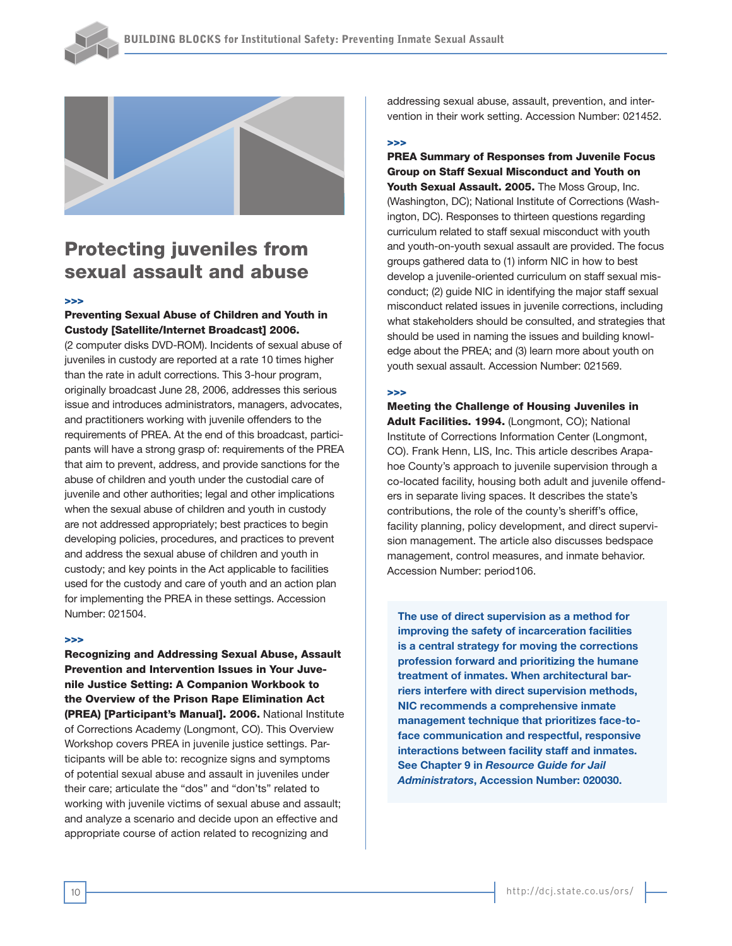

# Protecting juveniles from sexual assault and abuse

#### >>>

### Preventing Sexual Abuse of Children and Youth in Custody [Satellite/Internet Broadcast] 2006.

(2 computer disks DVD-ROM). Incidents of sexual abuse of juveniles in custody are reported at a rate 10 times higher than the rate in adult corrections. This 3-hour program, originally broadcast June 28, 2006, addresses this serious issue and introduces administrators, managers, advocates, and practitioners working with juvenile offenders to the requirements of PREA. At the end of this broadcast, participants will have a strong grasp of: requirements of the PREA that aim to prevent, address, and provide sanctions for the abuse of children and youth under the custodial care of juvenile and other authorities; legal and other implications when the sexual abuse of children and youth in custody are not addressed appropriately; best practices to begin developing policies, procedures, and practices to prevent and address the sexual abuse of children and youth in custody; and key points in the Act applicable to facilities used for the custody and care of youth and an action plan for implementing the PREA in these settings. Accession Number: 021504.

#### >>>

Recognizing and Addressing Sexual Abuse, Assault Prevention and Intervention Issues in Your Juvenile Justice Setting: A Companion Workbook to the Overview of the Prison Rape Elimination Act (PREA) [Participant's Manual]. 2006. National Institute of Corrections Academy (Longmont, CO). This Overview Workshop covers PREA in juvenile justice settings. Participants will be able to: recognize signs and symptoms of potential sexual abuse and assault in juveniles under their care; articulate the "dos" and "don'ts" related to working with juvenile victims of sexual abuse and assault; and analyze a scenario and decide upon an effective and appropriate course of action related to recognizing and

addressing sexual abuse, assault, prevention, and intervention in their work setting. Accession Number: 021452.

#### >>>

PREA Summary of Responses from Juvenile Focus Group on Staff Sexual Misconduct and Youth on Youth Sexual Assault. 2005. The Moss Group, Inc. (Washington, DC); National Institute of Corrections (Washington, DC). Responses to thirteen questions regarding curriculum related to staff sexual misconduct with youth and youth-on-youth sexual assault are provided. The focus groups gathered data to (1) inform NIC in how to best develop a juvenile-oriented curriculum on staff sexual misconduct; (2) guide NIC in identifying the major staff sexual misconduct related issues in juvenile corrections, including what stakeholders should be consulted, and strategies that should be used in naming the issues and building knowledge about the PREA; and (3) learn more about youth on youth sexual assault. Accession Number: 021569.

#### >>>

Meeting the Challenge of Housing Juveniles in Adult Facilities. 1994. (Longmont, CO); National Institute of Corrections Information Center (Longmont, CO). Frank Henn, LIS, Inc. This article describes Arapahoe County's approach to juvenile supervision through a co-located facility, housing both adult and juvenile offenders in separate living spaces. It describes the state's contributions, the role of the county's sheriff's office, facility planning, policy development, and direct supervision management. The article also discusses bedspace management, control measures, and inmate behavior. Accession Number: period106.

**The use of direct supervision as a method for improving the safety of incarceration facilities is a central strategy for moving the corrections profession forward and prioritizing the humane treatment of inmates. When architectural barriers interfere with direct supervision methods, NIC recommends a comprehensive inmate management technique that prioritizes face-toface communication and respectful, responsive interactions between facility staff and inmates. See Chapter 9 in** *Resource Guide for Jail Administrators***, Accession Number: 020030.**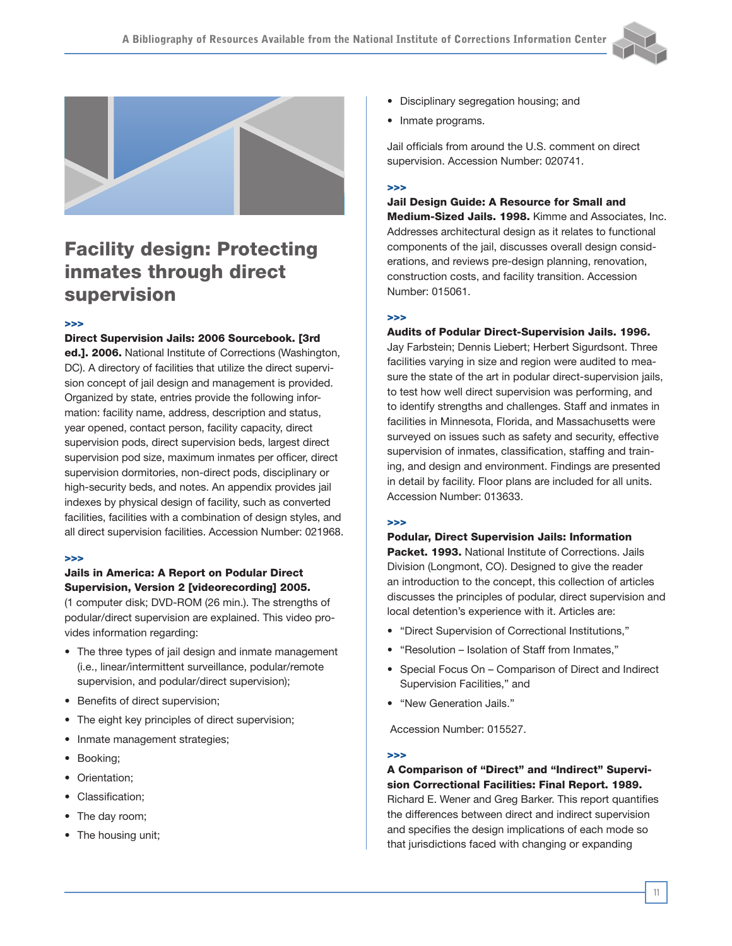



# Facility design: Protecting inmates through direct supervision

#### >>>

## Direct Supervision Jails: 2006 Sourcebook. [3rd

ed.]. 2006. National Institute of Corrections (Washington, DC). A directory of facilities that utilize the direct supervision concept of jail design and management is provided. Organized by state, entries provide the following information: facility name, address, description and status, year opened, contact person, facility capacity, direct supervision pods, direct supervision beds, largest direct supervision pod size, maximum inmates per officer, direct supervision dormitories, non-direct pods, disciplinary or high-security beds, and notes. An appendix provides jail indexes by physical design of facility, such as converted facilities, facilities with a combination of design styles, and all direct supervision facilities. Accession Number: 021968.

#### >>>

## Jails in America: A Report on Podular Direct Supervision, Version 2 [videorecording] 2005.

(1 computer disk; DVD-ROM (26 min.). The strengths of podular/direct supervision are explained. This video provides information regarding:

- The three types of jail design and inmate management (i.e., linear/intermittent surveillance, podular/remote supervision, and podular/direct supervision);
- Benefits of direct supervision;
- The eight key principles of direct supervision;
- Inmate management strategies;
- Booking;
- Orientation;
- Classification;
- The day room;
- The housing unit;
- Disciplinary segregation housing; and
- Inmate programs.

Jail officials from around the U.S. comment on direct supervision. Accession Number: 020741.

#### >>>

Jail Design Guide: A Resource for Small and Medium-Sized Jails. 1998. Kimme and Associates, Inc. Addresses architectural design as it relates to functional components of the jail, discusses overall design considerations, and reviews pre-design planning, renovation, construction costs, and facility transition. Accession Number: 015061.

#### >>>

#### Audits of Podular Direct-Supervision Jails. 1996.

Jay Farbstein; Dennis Liebert; Herbert Sigurdsont. Three facilities varying in size and region were audited to measure the state of the art in podular direct-supervision jails, to test how well direct supervision was performing, and to identify strengths and challenges. Staff and inmates in facilities in Minnesota, Florida, and Massachusetts were surveyed on issues such as safety and security, effective supervision of inmates, classification, staffing and training, and design and environment. Findings are presented in detail by facility. Floor plans are included for all units. Accession Number: 013633.

#### >>>

#### Podular, Direct Supervision Jails: Information

Packet. 1993. National Institute of Corrections. Jails Division (Longmont, CO). Designed to give the reader an introduction to the concept, this collection of articles discusses the principles of podular, direct supervision and local detention's experience with it. Articles are:

- "Direct Supervision of Correctional Institutions,"
- "Resolution Isolation of Staff from Inmates,"
- Special Focus On Comparison of Direct and Indirect Supervision Facilities," and
- "New Generation Jails."

Accession Number: 015527.

#### >>>

# A Comparison of "Direct" and "Indirect" Supervision Correctional Facilities: Final Report. 1989. Richard E. Wener and Greg Barker. This report quantifies the differences between direct and indirect supervision and specifies the design implications of each mode so that jurisdictions faced with changing or expanding

11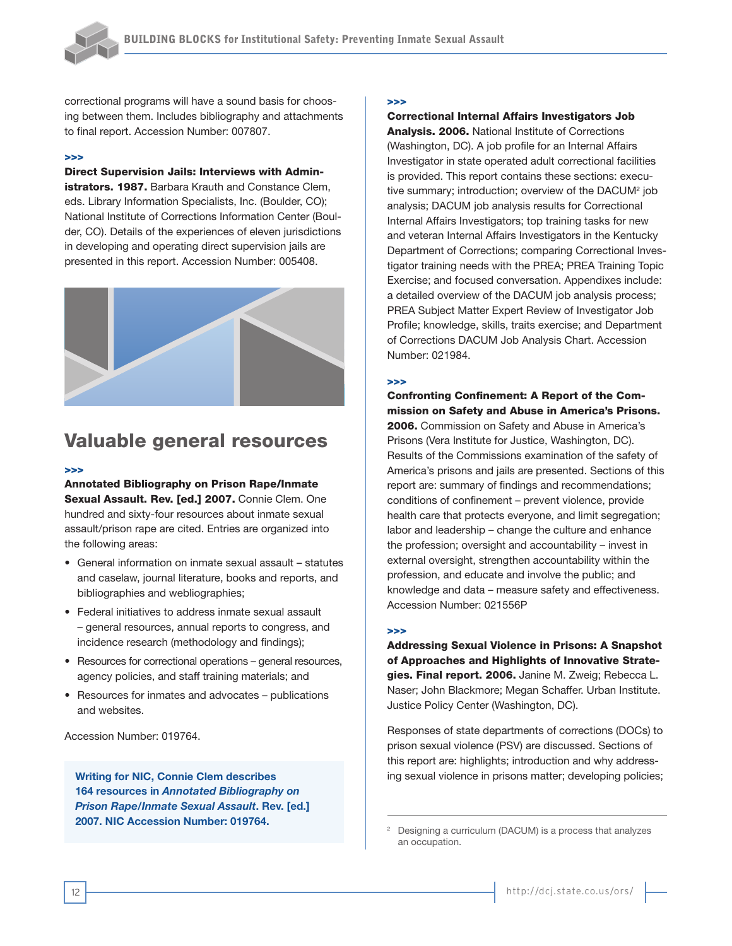

correctional programs will have a sound basis for choosing between them. Includes bibliography and attachments to final report. Accession Number: 007807.

#### >>>

#### Direct Supervision Jails: Interviews with Admin-

istrators. 1987. Barbara Krauth and Constance Clem. eds. Library Information Specialists, Inc. (Boulder, CO); National Institute of Corrections Information Center (Boulder, CO). Details of the experiences of eleven jurisdictions in developing and operating direct supervision jails are presented in this report. Accession Number: 005408.



# Valuable general resources

#### >>>

Annotated Bibliography on Prison Rape/Inmate Sexual Assault. Rev. [ed.] 2007. Connie Clem. One hundred and sixty-four resources about inmate sexual assault/prison rape are cited. Entries are organized into the following areas:

- General information on inmate sexual assault statutes and caselaw, journal literature, books and reports, and bibliographies and webliographies;
- Federal initiatives to address inmate sexual assault – general resources, annual reports to congress, and incidence research (methodology and findings);
- Resources for correctional operations general resources, agency policies, and staff training materials; and
- Resources for inmates and advocates publications and websites.

Accession Number: 019764.

**164 resources in** *Annotated Bibliography on Prison Rape/Inmate Sexual Assault***. Rev. [ed.] 2007. NIC Accession Number: 019764.** 2 Designing a curriculum (DACUM) is a process that analyzes

#### >>>

#### Correctional Internal Affairs Investigators Job

Analysis. 2006. National Institute of Corrections (Washington, DC). A job profile for an Internal Affairs Investigator in state operated adult correctional facilities is provided. This report contains these sections: executive summary; introduction; overview of the DACUM<sup>2</sup> job analysis; DACUM job analysis results for Correctional Internal Affairs Investigators; top training tasks for new and veteran Internal Affairs Investigators in the Kentucky Department of Corrections; comparing Correctional Investigator training needs with the PREA; PREA Training Topic Exercise; and focused conversation. Appendixes include: a detailed overview of the DACUM job analysis process; PREA Subject Matter Expert Review of Investigator Job Profile; knowledge, skills, traits exercise; and Department of Corrections DACUM Job Analysis Chart. Accession Number: 021984.

#### >>>

Confronting Confinement: A Report of the Commission on Safety and Abuse in America's Prisons. 2006. Commission on Safety and Abuse in America's Prisons (Vera Institute for Justice, Washington, DC). Results of the Commissions examination of the safety of America's prisons and jails are presented. Sections of this report are: summary of findings and recommendations; conditions of confinement – prevent violence, provide health care that protects everyone, and limit segregation; labor and leadership – change the culture and enhance the profession; oversight and accountability – invest in external oversight, strengthen accountability within the profession, and educate and involve the public; and knowledge and data – measure safety and effectiveness. Accession Number: 021556P

#### >>>

Addressing Sexual Violence in Prisons: A Snapshot of Approaches and Highlights of Innovative Strategies. Final report. 2006. Janine M. Zweig; Rebecca L. Naser; John Blackmore; Megan Schaffer. Urban Institute. Justice Policy Center (Washington, DC).

Responses of state departments of corrections (DOCs) to prison sexual violence (PSV) are discussed. Sections of this report are: highlights; introduction and why address-**Writing for NIC, Connie Clem describes index** ing sexual violence in prisons matter; developing policies;

an occupation.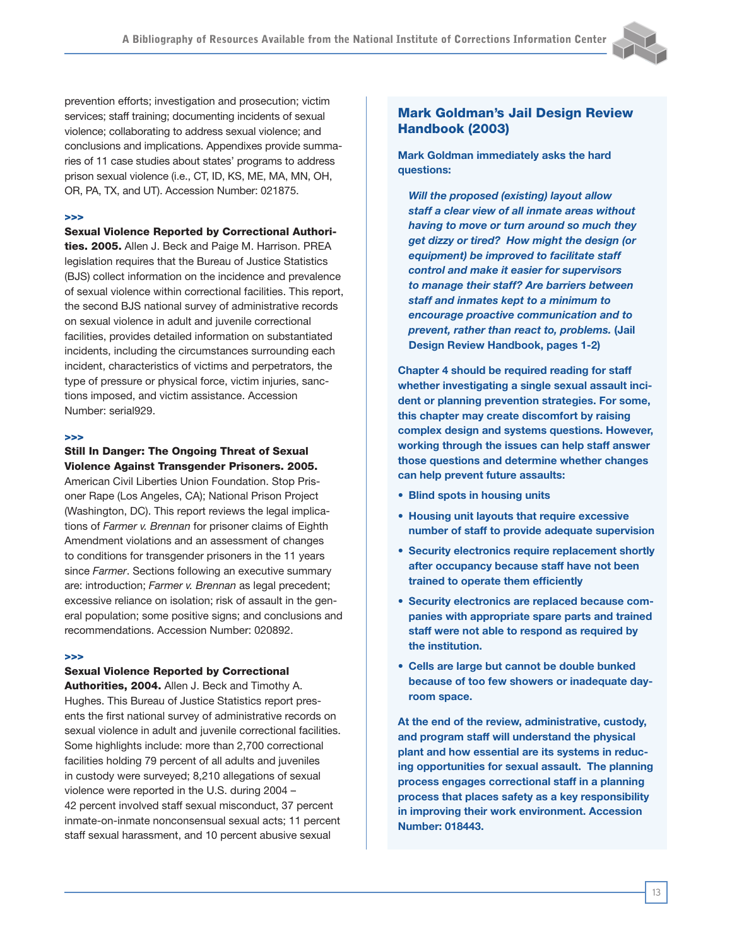prevention efforts; investigation and prosecution; victim services; staff training; documenting incidents of sexual violence; collaborating to address sexual violence; and conclusions and implications. Appendixes provide summaries of 11 case studies about states' programs to address prison sexual violence (i.e., CT, ID, KS, ME, MA, MN, OH, OR, PA, TX, and UT). Accession Number: 021875.

#### >>>

Sexual Violence Reported by Correctional Authori-

ties. 2005. Allen J. Beck and Paige M. Harrison. PREA legislation requires that the Bureau of Justice Statistics (BJS) collect information on the incidence and prevalence of sexual violence within correctional facilities. This report, the second BJS national survey of administrative records on sexual violence in adult and juvenile correctional facilities, provides detailed information on substantiated incidents, including the circumstances surrounding each incident, characteristics of victims and perpetrators, the type of pressure or physical force, victim injuries, sanctions imposed, and victim assistance. Accession Number: serial929.

#### >>>

#### Still In Danger: The Ongoing Threat of Sexual Violence Against Transgender Prisoners. 2005.

American Civil Liberties Union Foundation. Stop Prisoner Rape (Los Angeles, CA); National Prison Project (Washington, DC). This report reviews the legal implications of *Farmer v. Brennan* for prisoner claims of Eighth Amendment violations and an assessment of changes to conditions for transgender prisoners in the 11 years since *Farmer*. Sections following an executive summary are: introduction; *Farmer v. Brennan* as legal precedent; excessive reliance on isolation; risk of assault in the general population; some positive signs; and conclusions and recommendations. Accession Number: 020892.

#### >>>

#### Sexual Violence Reported by Correctional

Authorities, 2004. Allen J. Beck and Timothy A. Hughes. This Bureau of Justice Statistics report presents the first national survey of administrative records on sexual violence in adult and juvenile correctional facilities. Some highlights include: more than 2,700 correctional facilities holding 79 percent of all adults and juveniles in custody were surveyed; 8,210 allegations of sexual violence were reported in the U.S. during 2004 – 42 percent involved staff sexual misconduct, 37 percent inmate-on-inmate nonconsensual sexual acts; 11 percent staff sexual harassment, and 10 percent abusive sexual

# Mark Goldman's Jail Design Review Handbook (2003)

**Mark Goldman immediately asks the hard questions:**

*Will the proposed (existing) layout allow staff a clear view of all inmate areas without having to move or turn around so much they get dizzy or tired? How might the design (or equipment) be improved to facilitate staff control and make it easier for supervisors to manage their staff? Are barriers between staff and inmates kept to a minimum to encourage proactive communication and to prevent, rather than react to, problems.* **(Jail Design Review Handbook, pages 1-2)**

**Chapter 4 should be required reading for staff whether investigating a single sexual assault incident or planning prevention strategies. For some, this chapter may create discomfort by raising complex design and systems questions. However, working through the issues can help staff answer those questions and determine whether changes can help prevent future assaults:**

- **• Blind spots in housing units**
- **• Housing unit layouts that require excessive number of staff to provide adequate supervision**
- **• Security electronics require replacement shortly after occupancy because staff have not been trained to operate them efficiently**
- **• Security electronics are replaced because companies with appropriate spare parts and trained staff were not able to respond as required by the institution.**
- **• Cells are large but cannot be double bunked because of too few showers or inadequate dayroom space.**

**At the end of the review, administrative, custody, and program staff will understand the physical plant and how essential are its systems in reducing opportunities for sexual assault. The planning process engages correctional staff in a planning process that places safety as a key responsibility in improving their work environment. Accession Number: 018443.**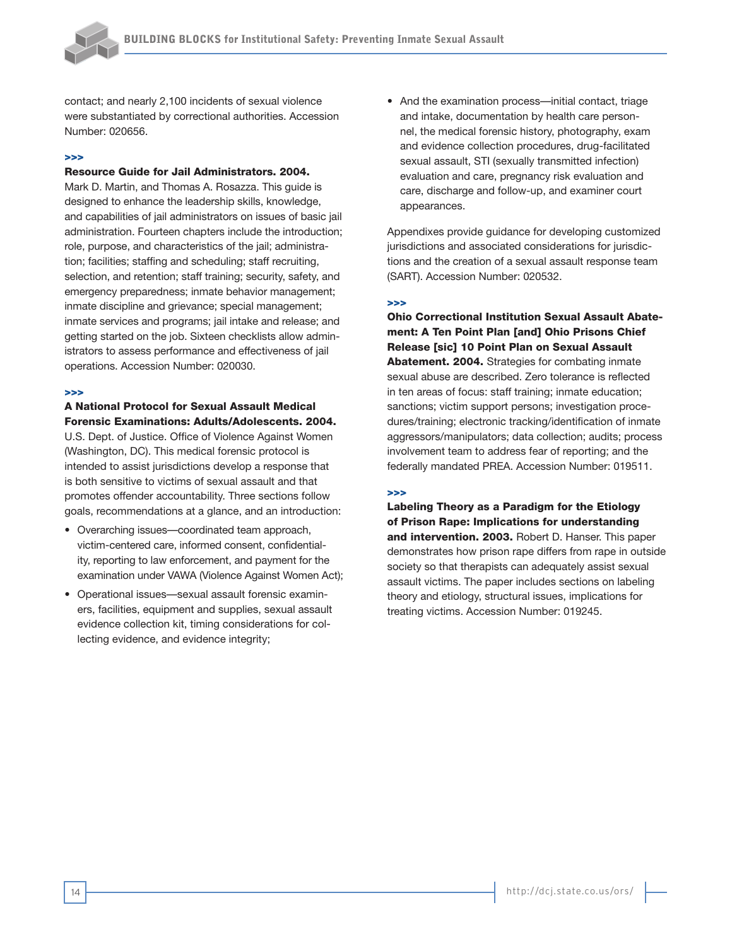

contact; and nearly 2,100 incidents of sexual violence were substantiated by correctional authorities. Accession Number: 020656.

#### >>>

#### Resource Guide for Jail Administrators. 2004.

Mark D. Martin, and Thomas A. Rosazza. This guide is designed to enhance the leadership skills, knowledge, and capabilities of jail administrators on issues of basic jail administration. Fourteen chapters include the introduction; role, purpose, and characteristics of the jail; administration; facilities; staffing and scheduling; staff recruiting, selection, and retention; staff training; security, safety, and emergency preparedness; inmate behavior management; inmate discipline and grievance; special management; inmate services and programs; jail intake and release; and getting started on the job. Sixteen checklists allow administrators to assess performance and effectiveness of jail operations. Accession Number: 020030.

#### >>>

## A National Protocol for Sexual Assault Medical Forensic Examinations: Adults/Adolescents. 2004.

U.S. Dept. of Justice. Office of Violence Against Women (Washington, DC). This medical forensic protocol is intended to assist jurisdictions develop a response that is both sensitive to victims of sexual assault and that promotes offender accountability. Three sections follow goals, recommendations at a glance, and an introduction:

- Overarching issues—coordinated team approach, victim-centered care, informed consent, confidentiality, reporting to law enforcement, and payment for the examination under VAWA (Violence Against Women Act);
- Operational issues—sexual assault forensic examiners, facilities, equipment and supplies, sexual assault evidence collection kit, timing considerations for collecting evidence, and evidence integrity;

• And the examination process—initial contact, triage and intake, documentation by health care personnel, the medical forensic history, photography, exam and evidence collection procedures, drug-facilitated sexual assault, STI (sexually transmitted infection) evaluation and care, pregnancy risk evaluation and care, discharge and follow-up, and examiner court appearances.

Appendixes provide guidance for developing customized jurisdictions and associated considerations for jurisdictions and the creation of a sexual assault response team (SART). Accession Number: 020532.

#### >>>

Ohio Correctional Institution Sexual Assault Abatement: A Ten Point Plan [and] Ohio Prisons Chief Release [sic] 10 Point Plan on Sexual Assault Abatement. 2004. Strategies for combating inmate sexual abuse are described. Zero tolerance is reflected in ten areas of focus: staff training; inmate education; sanctions; victim support persons; investigation procedures/training; electronic tracking/identification of inmate aggressors/manipulators; data collection; audits; process involvement team to address fear of reporting; and the federally mandated PREA. Accession Number: 019511.

## >>>

Labeling Theory as a Paradigm for the Etiology of Prison Rape: Implications for understanding and intervention. 2003. Robert D. Hanser. This paper demonstrates how prison rape differs from rape in outside society so that therapists can adequately assist sexual assault victims. The paper includes sections on labeling theory and etiology, structural issues, implications for treating victims. Accession Number: 019245.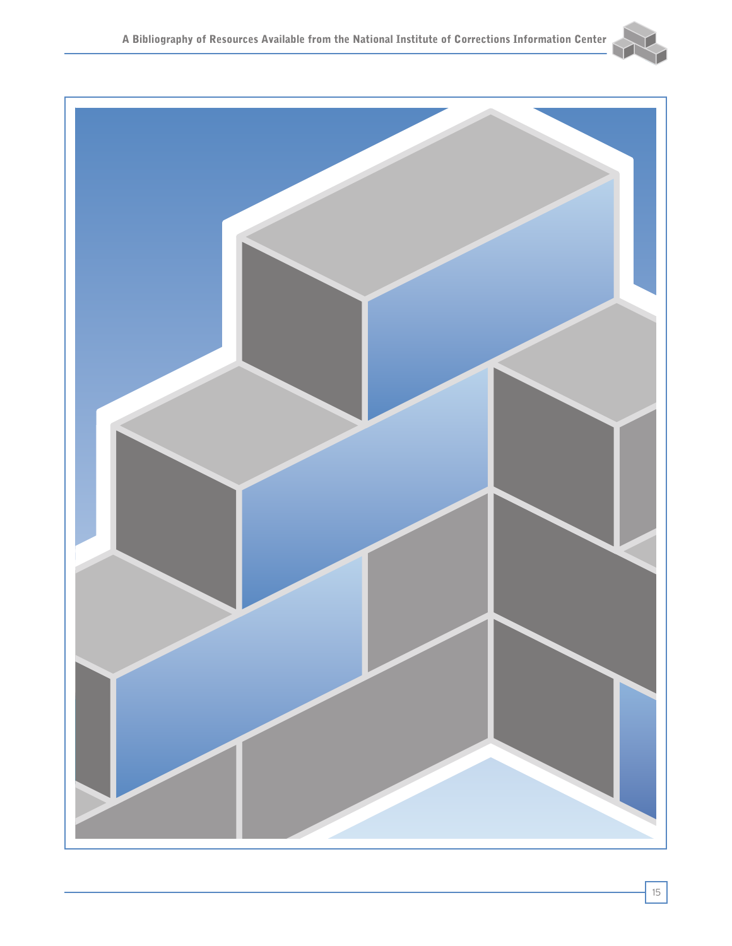